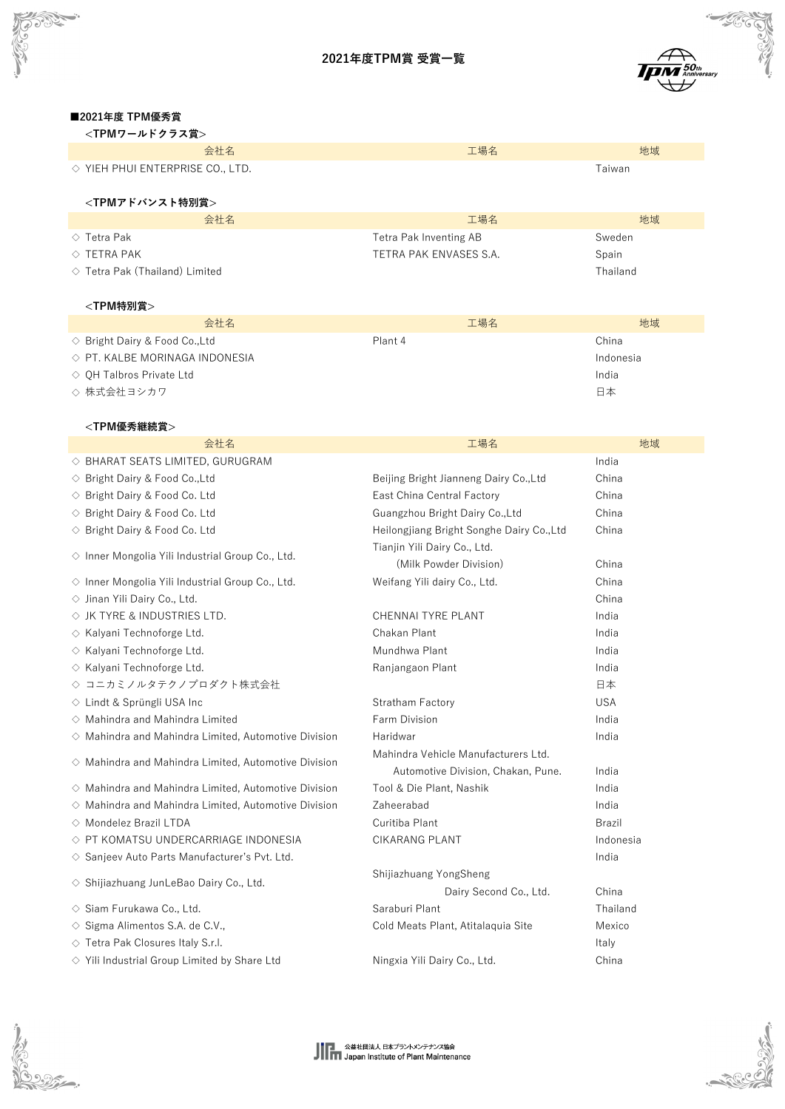

# **■2021年度 TPM優秀賞**

**FORDER** 

| <tpmワールドクラス賞></tpmワールドクラス賞> |  |
|-----------------------------|--|
|                             |  |

| <ifwソールトン ノム員=""></ifwソールトン>              |                        |           |
|-------------------------------------------|------------------------|-----------|
| 会社名                                       | 工場名                    | 地域        |
| $\Diamond$ YIEH PHUI ENTERPRISE CO., LTD. |                        | Taiwan    |
| <tpmアドバンスト特別賞></tpmアドバンスト特別賞>             |                        |           |
| 会社名                                       | 工場名                    | 地域        |
| $\Diamond$ Tetra Pak                      | Tetra Pak Inventing AB | Sweden    |
| $\Diamond$ TETRA PAK                      | TETRA PAK ENVASES S.A. | Spain     |
| $\Diamond$ Tetra Pak (Thailand) Limited   |                        | Thailand  |
| <tpm特別賞></tpm特別賞>                         |                        |           |
| 会社名                                       | 工場名                    | 地域        |
| $\Diamond$ Bright Dairy & Food Co., Ltd   | Plant 4                | China     |
| $\Diamond$ PT. KALBE MORINAGA INDONESIA   |                        | Indonesia |
| ◇ QH Talbros Private Ltd                  |                        | India     |

◇ 株式会社ヨシカワ ⽇本

#### **<TPM優秀継続賞>**

| 会社名                                                           | 工場名                                                                       | 地域            |
|---------------------------------------------------------------|---------------------------------------------------------------------------|---------------|
| $\Diamond$ BHARAT SEATS LIMITED, GURUGRAM                     |                                                                           | India         |
| ◇ Bright Dairy & Food Co., Ltd                                | Beijing Bright Jianneng Dairy Co., Ltd                                    | China         |
| ◇ Bright Dairy & Food Co. Ltd                                 | East China Central Factory                                                | China         |
| ◇ Bright Dairy & Food Co. Ltd                                 | Guangzhou Bright Dairy Co., Ltd                                           | China         |
| ◇ Bright Dairy & Food Co. Ltd                                 | Heilongjiang Bright Songhe Dairy Co., Ltd                                 | China         |
| $\Diamond$ Inner Mongolia Yili Industrial Group Co., Ltd.     | Tianjin Yili Dairy Co., Ltd.<br>(Milk Powder Division)                    | China         |
| $\diamond$ Inner Mongolia Yili Industrial Group Co., Ltd.     | Weifang Yili dairy Co., Ltd.                                              | China         |
| $\Diamond$ Jinan Yili Dairy Co., Ltd.                         |                                                                           | China         |
| $\Diamond$ JK TYRE & INDUSTRIES LTD.                          | CHENNAI TYRE PLANT                                                        | India         |
| $\diamond$ Kalyani Technoforge Ltd.                           | Chakan Plant                                                              | India         |
| $\Diamond$ Kalyani Technoforge Ltd.                           | Mundhwa Plant                                                             | India         |
| ◇ Kalyani Technoforge Ltd.                                    | Ranjangaon Plant                                                          | India         |
| ◇ コニカミノルタテクノプロダクト株式会社                                         |                                                                           | 日本            |
| ◇ Lindt & Sprüngli USA Inc                                    | Stratham Factory                                                          | <b>USA</b>    |
| $\Diamond$ Mahindra and Mahindra Limited                      | Farm Division                                                             | India         |
| $\Diamond$ Mahindra and Mahindra Limited, Automotive Division | Haridwar                                                                  | India         |
| $\Diamond$ Mahindra and Mahindra Limited, Automotive Division | Mahindra Vehicle Manufacturers Ltd.<br>Automotive Division, Chakan, Pune. | India         |
| $\Diamond$ Mahindra and Mahindra Limited, Automotive Division | Tool & Die Plant, Nashik                                                  | India         |
| $\Diamond$ Mahindra and Mahindra Limited, Automotive Division | Zaheerabad                                                                | India         |
| ◇ Mondelez Brazil LTDA                                        | Curitiba Plant                                                            | <b>Brazil</b> |
| $\Diamond$ PT KOMATSU UNDERCARRIAGE INDONESIA                 | <b>CIKARANG PLANT</b>                                                     | Indonesia     |
| $\diamond$ Sanjeev Auto Parts Manufacturer's Pvt. Ltd.        |                                                                           | India         |
| $\diamond$ Shijiazhuang JunLeBao Dairy Co., Ltd.              | Shijiazhuang YongSheng<br>Dairy Second Co., Ltd.                          | China         |
| $\diamond$ Siam Furukawa Co., Ltd.                            | Saraburi Plant                                                            | Thailand      |
| $\Diamond$ Sigma Alimentos S.A. de C.V.,                      | Cold Meats Plant, Atitalaquia Site                                        | Mexico        |
| ◇ Tetra Pak Closures Italy S.r.l.                             |                                                                           | Italy         |
| $\Diamond$ Yili Industrial Group Limited by Share Ltd         | Ningxia Yili Dairy Co., Ltd.                                              | China         |

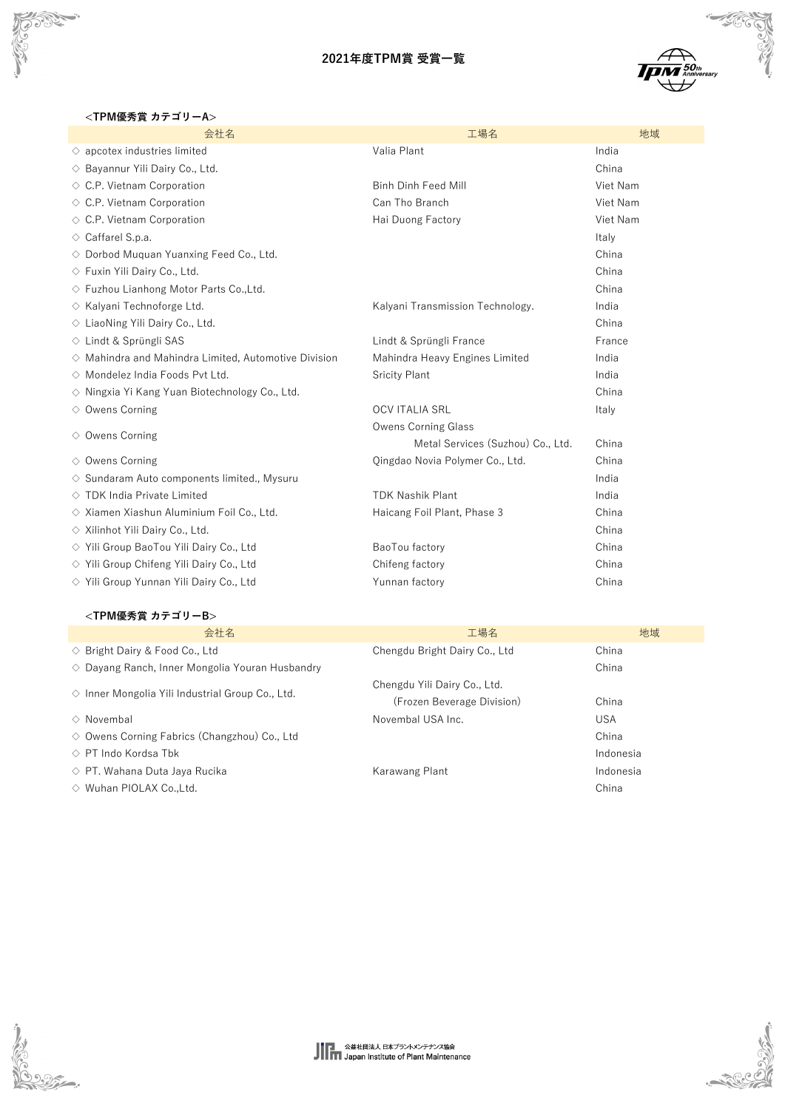# **2021年度TPM賞 受賞⼀覧**



## **<TPM優秀賞 カテゴリーA>**

REFERENCE

| 会社名                                                           | 工場名                                                             | 地域       |
|---------------------------------------------------------------|-----------------------------------------------------------------|----------|
| $\diamond$ apcotex industries limited                         | Valia Plant                                                     | India    |
| $\Diamond$ Bayannur Yili Dairy Co., Ltd.                      |                                                                 | China    |
| $\Diamond$ C.P. Vietnam Corporation                           | Binh Dinh Feed Mill                                             | Viet Nam |
| $\Diamond$ C.P. Vietnam Corporation                           | Can Tho Branch                                                  | Viet Nam |
| $\Diamond$ C.P. Vietnam Corporation                           | Hai Duong Factory                                               | Viet Nam |
| $\Diamond$ Caffarel S.p.a.                                    |                                                                 | Italy    |
| $\Diamond$ Dorbod Muquan Yuanxing Feed Co., Ltd.              |                                                                 | China    |
| $\Diamond$ Fuxin Yili Dairy Co., Ltd.                         |                                                                 | China    |
| $\diamond$ Fuzhou Lianhong Motor Parts Co., Ltd.              |                                                                 | China    |
| $\Diamond$ Kalyani Technoforge Ltd.                           | Kalyani Transmission Technology.                                | India    |
| $\Diamond$ LiaoNing Yili Dairy Co., Ltd.                      |                                                                 | China    |
| $\Diamond$ Lindt & Sprüngli SAS                               | Lindt & Sprüngli France                                         | France   |
| $\Diamond$ Mahindra and Mahindra Limited, Automotive Division | Mahindra Heavy Engines Limited                                  | India    |
| $\Diamond$ Mondelez India Foods Pvt Ltd.                      | <b>Sricity Plant</b>                                            | India    |
| $\diamond$ Ningxia Yi Kang Yuan Biotechnology Co., Ltd.       |                                                                 | China    |
| $\diamond$ Owens Corning                                      | <b>OCV ITALIA SRL</b>                                           | Italy    |
| $\diamond$ Owens Corning                                      | <b>Owens Corning Glass</b><br>Metal Services (Suzhou) Co., Ltd. | China    |
| $\Diamond$ Owens Corning                                      | Qingdao Novia Polymer Co., Ltd.                                 | China    |
| $\Diamond$ Sundaram Auto components limited., Mysuru          |                                                                 | India    |
| $\Diamond$ TDK India Private Limited                          | <b>TDK Nashik Plant</b>                                         | India    |
| $\Diamond$ Xiamen Xiashun Aluminium Foil Co., Ltd.            | Haicang Foil Plant, Phase 3                                     | China    |
| $\Diamond$ Xilinhot Yili Dairy Co., Ltd.                      |                                                                 | China    |
| ◇ Yili Group BaoTou Yili Dairy Co., Ltd                       | BaoTou factory                                                  | China    |
| $\Diamond$ Yili Group Chifeng Yili Dairy Co., Ltd             | Chifeng factory                                                 | China    |
| $\Diamond$ Yili Group Yunnan Yili Dairy Co., Ltd              | Yunnan factory                                                  | China    |
|                                                               |                                                                 |          |

## **<TPM優秀賞 カテゴリーB>**

| 会社名                                                       | 工場名                           | 地域         |
|-----------------------------------------------------------|-------------------------------|------------|
| $\Diamond$ Bright Dairy & Food Co., Ltd                   | Chengdu Bright Dairy Co., Ltd | China      |
| $\Diamond$ Dayang Ranch, Inner Mongolia Youran Husbandry  |                               | China      |
|                                                           | Chengdu Yili Dairy Co., Ltd.  |            |
| $\Diamond$ Inner Mongolia Yili Industrial Group Co., Ltd. | (Frozen Beverage Division)    | China      |
| $\Diamond$ Novembal                                       | Novembal USA Inc.             | <b>USA</b> |
| $\Diamond$ Owens Corning Fabrics (Changzhou) Co., Ltd     |                               | China      |
| $\Diamond$ PT Indo Kordsa Tbk                             |                               | Indonesia  |
| $\Diamond$ PT. Wahana Duta Jaya Rucika                    | Karawang Plant                | Indonesia  |
| ◇ Wuhan PIOLAX CoLtd.                                     |                               | China      |
|                                                           |                               |            |